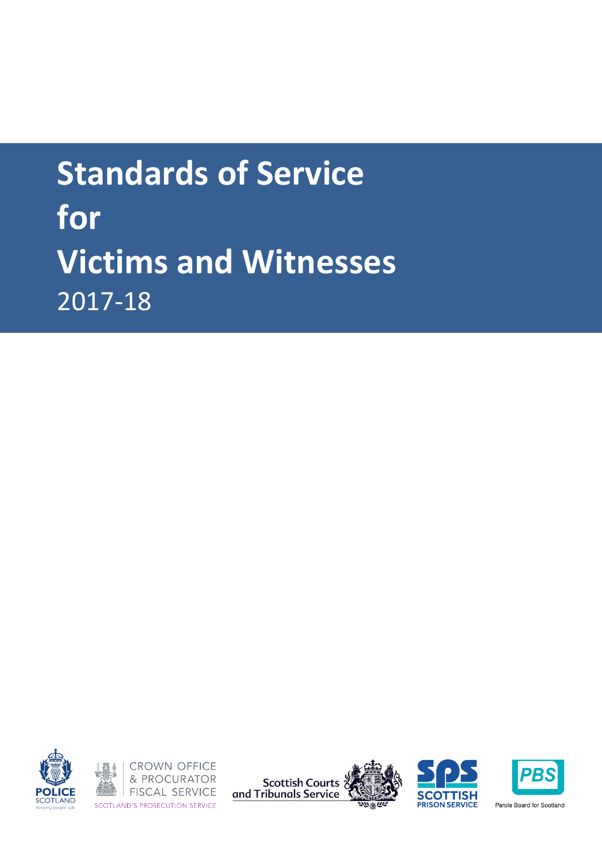







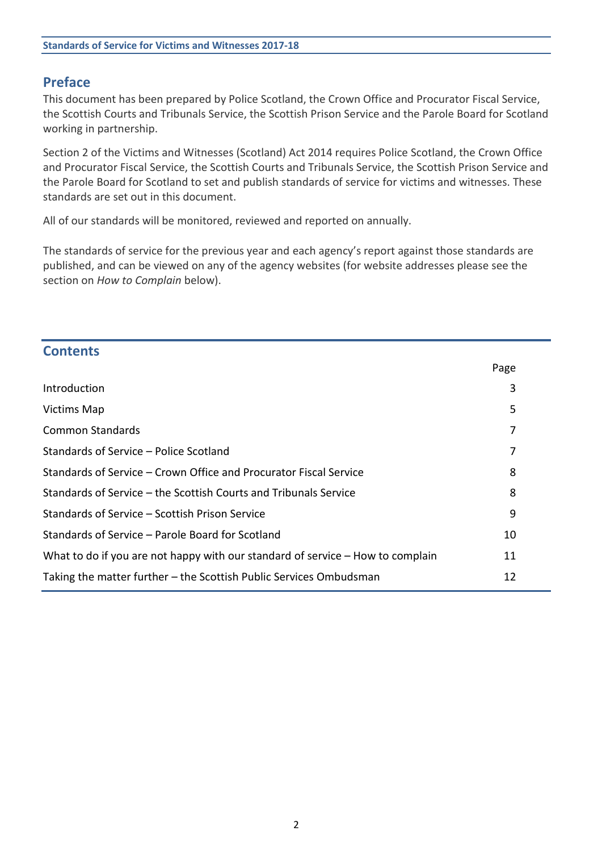# **Preface**

This document has been prepared by Police Scotland, the Crown Office and Procurator Fiscal Service, the Scottish Courts and Tribunals Service, the Scottish Prison Service and the Parole Board for Scotland working in partnership.

Section 2 of the Victims and Witnesses (Scotland) Act 2014 requires Police Scotland, the Crown Office and Procurator Fiscal Service, the Scottish Courts and Tribunals Service, the Scottish Prison Service and the Parole Board for Scotland to set and publish standards of service for victims and witnesses. These standards are set out in this document.

All of our standards will be monitored, reviewed and reported on annually.

The standards of service for the previous year and each agency's report against those standards are published, and can be viewed on any of the agency websites (for website addresses please see the section on *How to Complain* below).

| <b>Contents</b>                                                                |      |  |
|--------------------------------------------------------------------------------|------|--|
|                                                                                | Page |  |
| Introduction                                                                   | 3    |  |
| <b>Victims Map</b>                                                             | 5    |  |
| <b>Common Standards</b>                                                        | 7    |  |
| Standards of Service – Police Scotland                                         | 7    |  |
| Standards of Service – Crown Office and Procurator Fiscal Service              | 8    |  |
| Standards of Service – the Scottish Courts and Tribunals Service               | 8    |  |
| Standards of Service - Scottish Prison Service                                 | 9    |  |
| Standards of Service – Parole Board for Scotland                               | 10   |  |
| What to do if you are not happy with our standard of service – How to complain | 11   |  |
| Taking the matter further – the Scottish Public Services Ombudsman<br>12       |      |  |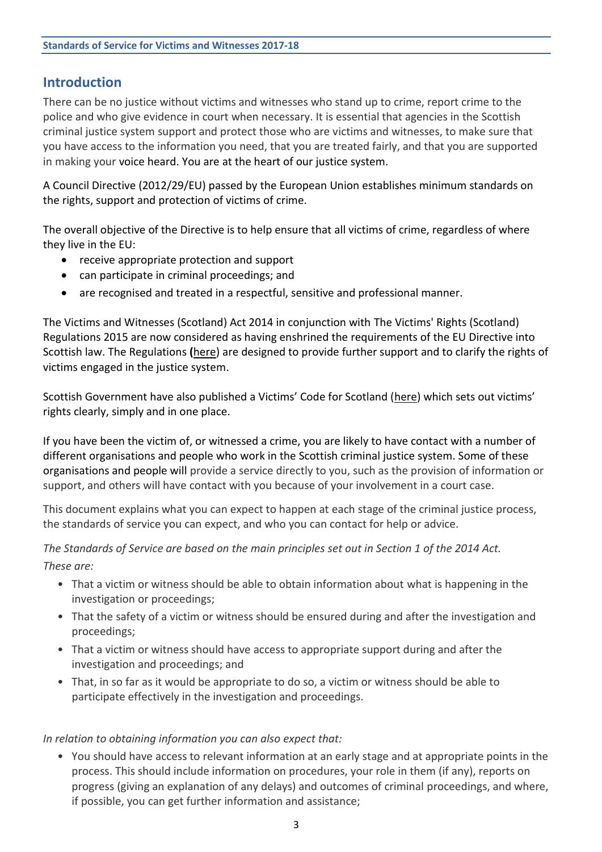# **Introduction**

There can be no justice without victims and witnesses who stand up to crime, report crime to the police and who give evidence in court when necessary. It is essential that agencies in the Scottish criminal justice system support and protect those who are victims and witnesses, to make sure that you have access to the information you need, that you are treated fairly, and that you are supported in making your voice heard. You are at the heart of our justice system.

A Council Directive (2012/29/EU) passed by the European Union establishes minimum standards on the rights, support and protection of victims of crime.

The overall objective of the Directive is to help ensure that all victims of crime, regardless of where they live in the EU:

- receive appropriate protection and support
- can participate in criminal proceedings; and
- are recognised and treated in a respectful, sensitive and professional manner.

The Victims and Witnesses (Scotland) Act 2014 in conjunction with The Victims' Rights (Scotland) Regulations 2015 are now considered as having enshrined the requirements of the EU Directive into Scottish law. The Regulations **(**[here\)](http://www.legislation.gov.uk/ssi/2015/444/contents/made) are designed to provide further support and to clarify the rights of victims engaged in the justice system.

Scottish Government have also published a Victims' Code for Scotland ([here](https://www.mygov.scot/victim-witness-rights/)) which sets out victims' rights clearly, simply and in one place.

If you have been the victim of, or witnessed a crime, you are likely to have contact with a number of different organisations and people who work in the Scottish criminal justice system. Some of these organisations and people will provide a service directly to you, such as the provision of information or support, and others will have contact with you because of your involvement in a court case.

This document explains what you can expect to happen at each stage of the criminal justice process, the standards of service you can expect, and who you can contact for help or advice.

*The Standards of Service are based on the main principles set out in Section 1 of the 2014 Act. These are:*

- That a victim or witness should be able to obtain information about what is happening in the investigation or proceedings;
- That the safety of a victim or witness should be ensured during and after the investigation and proceedings;
- That a victim or witness should have access to appropriate support during and after the investigation and proceedings; and
- That, in so far as it would be appropriate to do so, a victim or witness should be able to participate effectively in the investigation and proceedings.

## *In relation to obtaining information you can also expect that:*

• You should have access to relevant information at an early stage and at appropriate points in the process. This should include information on procedures, your role in them (if any), reports on progress (giving an explanation of any delays) and outcomes of criminal proceedings, and where, if possible, you can get further information and assistance;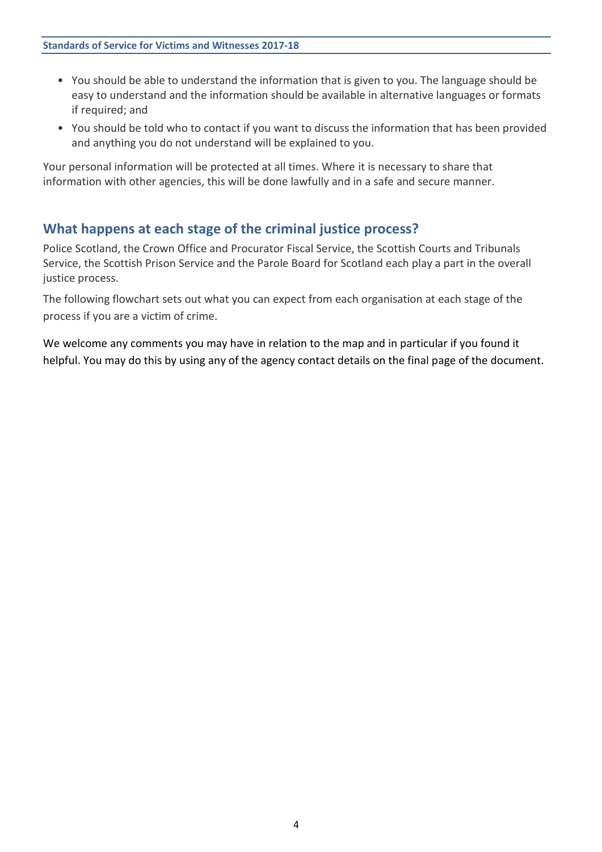- You should be able to understand the information that is given to you. The language should be easy to understand and the information should be available in alternative languages or formats if required; and
- You should be told who to contact if you want to discuss the information that has been provided and anything you do not understand will be explained to you.

Your personal information will be protected at all times. Where it is necessary to share that information with other agencies, this will be done lawfully and in a safe and secure manner.

## **What happens at each stage of the criminal justice process?**

Police Scotland, the Crown Office and Procurator Fiscal Service, the Scottish Courts and Tribunals Service, the Scottish Prison Service and the Parole Board for Scotland each play a part in the overall justice process.

The following flowchart sets out what you can expect from each organisation at each stage of the process if you are a victim of crime.

We welcome any comments you may have in relation to the map and in particular if you found it helpful. You may do this by using any of the agency contact details on the final page of the document.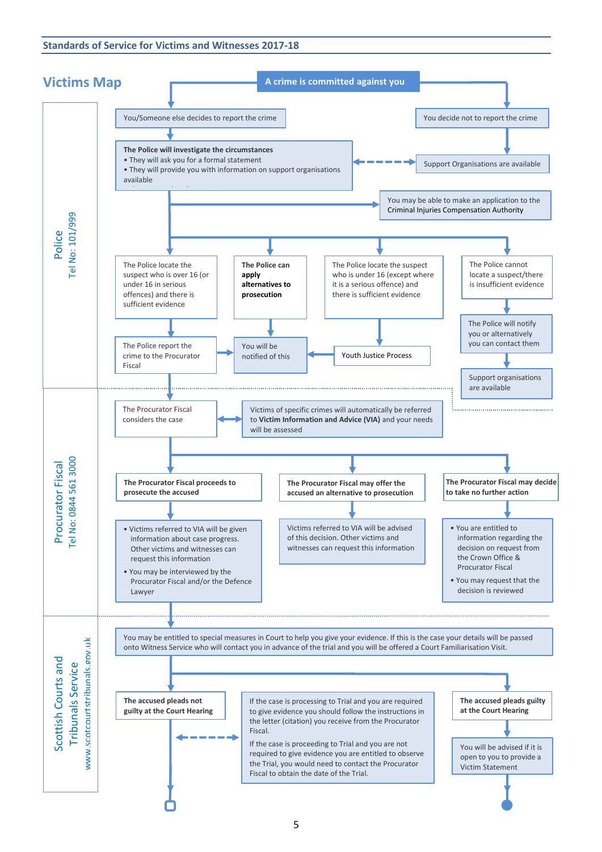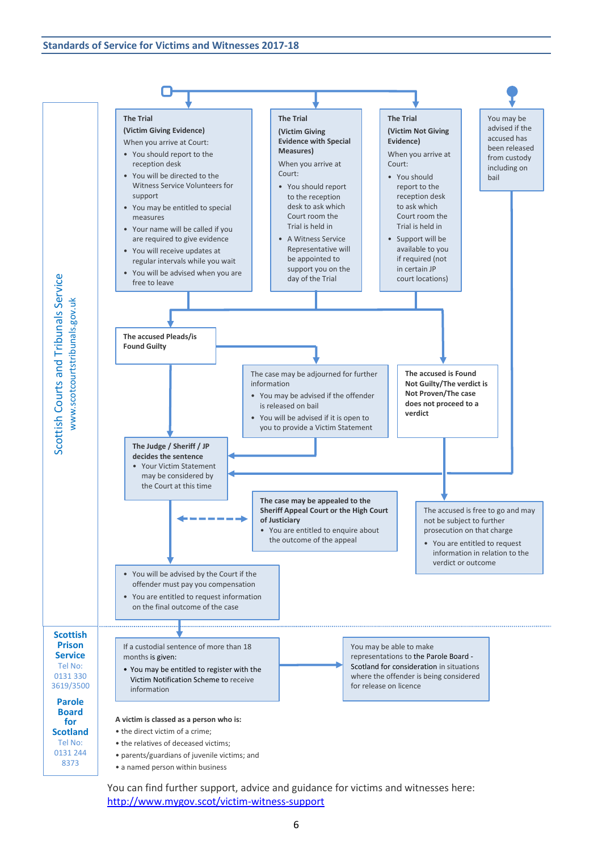

You can find further support, advice and guidance for victims and witnesses here: <http://www.mygov.scot/victim-witness-support>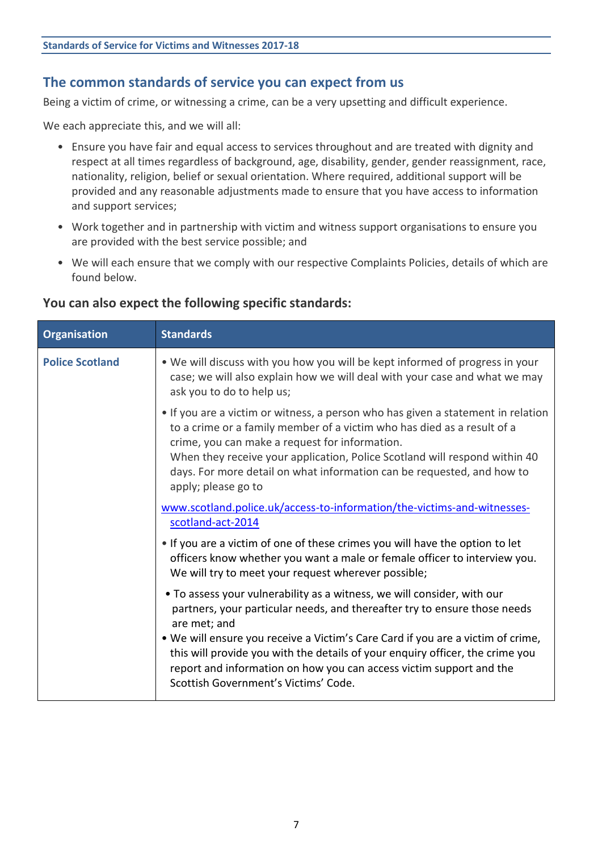## **The common standards of service you can expect from us**

Being a victim of crime, or witnessing a crime, can be a very upsetting and difficult experience.

We each appreciate this, and we will all:

- Ensure you have fair and equal access to services throughout and are treated with dignity and respect at all times regardless of background, age, disability, gender, gender reassignment, race, nationality, religion, belief or sexual orientation. Where required, additional support will be provided and any reasonable adjustments made to ensure that you have access to information and support services;
- Work together and in partnership with victim and witness support organisations to ensure you are provided with the best service possible; and
- We will each ensure that we comply with our respective Complaints Policies, details of which are found below.

## **You can also expect the following specific standards:**

| <b>Organisation</b>    | <b>Standards</b>                                                                                                                                                                                                                                                                                                                                                                                                |
|------------------------|-----------------------------------------------------------------------------------------------------------------------------------------------------------------------------------------------------------------------------------------------------------------------------------------------------------------------------------------------------------------------------------------------------------------|
| <b>Police Scotland</b> | . We will discuss with you how you will be kept informed of progress in your<br>case; we will also explain how we will deal with your case and what we may<br>ask you to do to help us;                                                                                                                                                                                                                         |
|                        | • If you are a victim or witness, a person who has given a statement in relation<br>to a crime or a family member of a victim who has died as a result of a<br>crime, you can make a request for information.<br>When they receive your application, Police Scotland will respond within 40<br>days. For more detail on what information can be requested, and how to<br>apply; please go to                    |
|                        | www.scotland.police.uk/access-to-information/the-victims-and-witnesses-<br>scotland-act-2014                                                                                                                                                                                                                                                                                                                    |
|                        | . If you are a victim of one of these crimes you will have the option to let<br>officers know whether you want a male or female officer to interview you.<br>We will try to meet your request wherever possible;                                                                                                                                                                                                |
|                        | • To assess your vulnerability as a witness, we will consider, with our<br>partners, your particular needs, and thereafter try to ensure those needs<br>are met; and<br>. We will ensure you receive a Victim's Care Card if you are a victim of crime,<br>this will provide you with the details of your enquiry officer, the crime you<br>report and information on how you can access victim support and the |
|                        | Scottish Government's Victims' Code.                                                                                                                                                                                                                                                                                                                                                                            |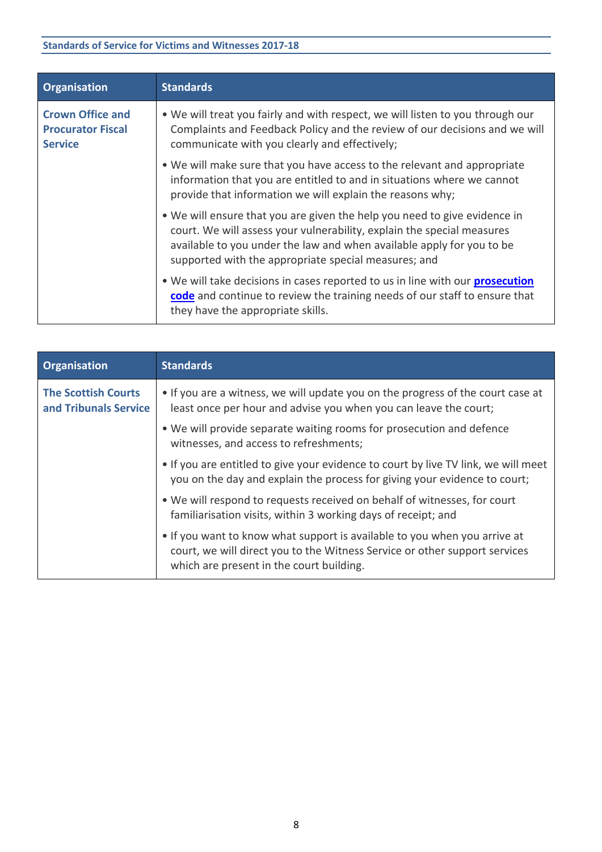| <b>Organisation</b>                                                   | <b>Standards</b>                                                                                                                                                                                                                                                                     |
|-----------------------------------------------------------------------|--------------------------------------------------------------------------------------------------------------------------------------------------------------------------------------------------------------------------------------------------------------------------------------|
| <b>Crown Office and</b><br><b>Procurator Fiscal</b><br><b>Service</b> | . We will treat you fairly and with respect, we will listen to you through our<br>Complaints and Feedback Policy and the review of our decisions and we will<br>communicate with you clearly and effectively;                                                                        |
|                                                                       | • We will make sure that you have access to the relevant and appropriate<br>information that you are entitled to and in situations where we cannot<br>provide that information we will explain the reasons why;                                                                      |
|                                                                       | • We will ensure that you are given the help you need to give evidence in<br>court. We will assess your vulnerability, explain the special measures<br>available to you under the law and when available apply for you to be<br>supported with the appropriate special measures; and |
|                                                                       | . We will take decisions in cases reported to us in line with our <b>prosecution</b><br>code and continue to review the training needs of our staff to ensure that<br>they have the appropriate skills.                                                                              |

| <b>Organisation</b>                                 | <b>Standards</b>                                                                                                                                                                                    |
|-----------------------------------------------------|-----------------------------------------------------------------------------------------------------------------------------------------------------------------------------------------------------|
| <b>The Scottish Courts</b><br>and Tribunals Service | • If you are a witness, we will update you on the progress of the court case at<br>least once per hour and advise you when you can leave the court;                                                 |
|                                                     | . We will provide separate waiting rooms for prosecution and defence<br>witnesses, and access to refreshments;                                                                                      |
|                                                     | . If you are entitled to give your evidence to court by live TV link, we will meet<br>you on the day and explain the process for giving your evidence to court;                                     |
|                                                     | • We will respond to requests received on behalf of witnesses, for court<br>familiarisation visits, within 3 working days of receipt; and                                                           |
|                                                     | • If you want to know what support is available to you when you arrive at<br>court, we will direct you to the Witness Service or other support services<br>which are present in the court building. |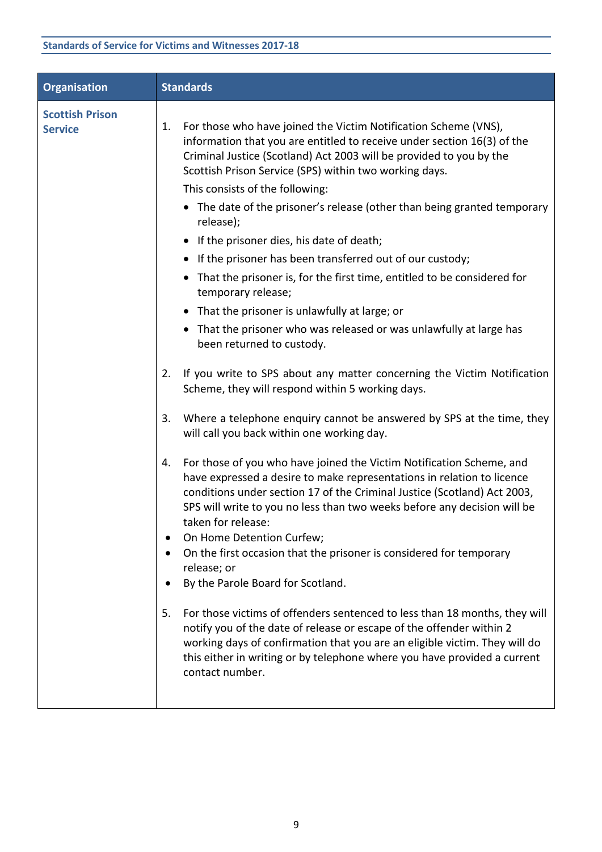| <b>Organisation</b>                      | <b>Standards</b>                                                                                                                                                                                                                                                                                                                                                                                                                                                                                                                                                                                                                                                                                                                                                                                                                                                                                                                                                                                                                                                                                                                                                                                                                                                                                                                                                                                                                                                                                                                                                                                                                                                                                                                                                                                                                                                                            |
|------------------------------------------|---------------------------------------------------------------------------------------------------------------------------------------------------------------------------------------------------------------------------------------------------------------------------------------------------------------------------------------------------------------------------------------------------------------------------------------------------------------------------------------------------------------------------------------------------------------------------------------------------------------------------------------------------------------------------------------------------------------------------------------------------------------------------------------------------------------------------------------------------------------------------------------------------------------------------------------------------------------------------------------------------------------------------------------------------------------------------------------------------------------------------------------------------------------------------------------------------------------------------------------------------------------------------------------------------------------------------------------------------------------------------------------------------------------------------------------------------------------------------------------------------------------------------------------------------------------------------------------------------------------------------------------------------------------------------------------------------------------------------------------------------------------------------------------------------------------------------------------------------------------------------------------------|
| <b>Scottish Prison</b><br><b>Service</b> | For those who have joined the Victim Notification Scheme (VNS),<br>1.<br>information that you are entitled to receive under section 16(3) of the<br>Criminal Justice (Scotland) Act 2003 will be provided to you by the<br>Scottish Prison Service (SPS) within two working days.<br>This consists of the following:<br>• The date of the prisoner's release (other than being granted temporary<br>release);<br>• If the prisoner dies, his date of death;<br>• If the prisoner has been transferred out of our custody;<br>• That the prisoner is, for the first time, entitled to be considered for<br>temporary release;<br>• That the prisoner is unlawfully at large; or<br>• That the prisoner who was released or was unlawfully at large has<br>been returned to custody.<br>If you write to SPS about any matter concerning the Victim Notification<br>2.<br>Scheme, they will respond within 5 working days.<br>Where a telephone enquiry cannot be answered by SPS at the time, they<br>3.<br>will call you back within one working day.<br>For those of you who have joined the Victim Notification Scheme, and<br>4.<br>have expressed a desire to make representations in relation to licence<br>conditions under section 17 of the Criminal Justice (Scotland) Act 2003,<br>SPS will write to you no less than two weeks before any decision will be<br>taken for release:<br>On Home Detention Curfew;<br>On the first occasion that the prisoner is considered for temporary<br>release; or<br>By the Parole Board for Scotland.<br>For those victims of offenders sentenced to less than 18 months, they will<br>5.<br>notify you of the date of release or escape of the offender within 2<br>working days of confirmation that you are an eligible victim. They will do<br>this either in writing or by telephone where you have provided a current<br>contact number. |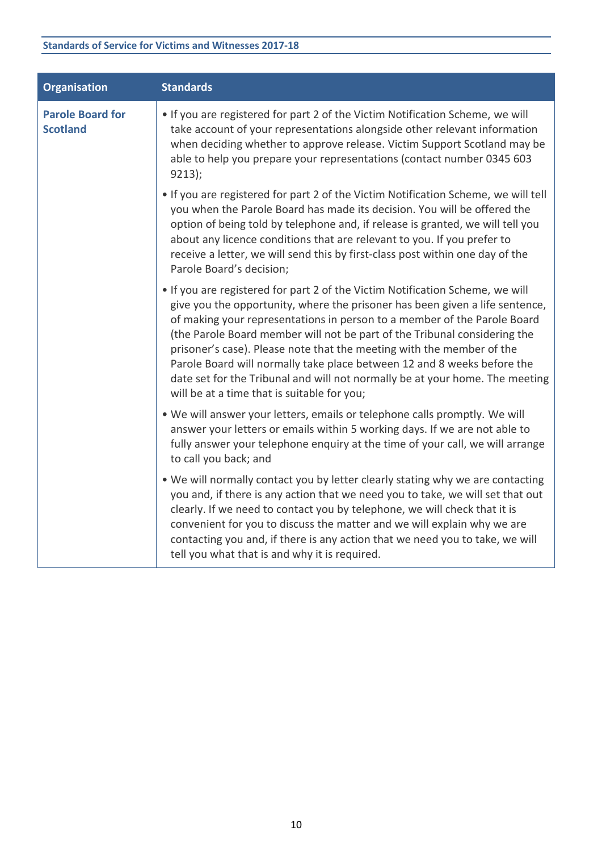| <b>Organisation</b>                        | <b>Standards</b>                                                                                                                                                                                                                                                                                                                                                                                                                                                                                                                                                                                          |
|--------------------------------------------|-----------------------------------------------------------------------------------------------------------------------------------------------------------------------------------------------------------------------------------------------------------------------------------------------------------------------------------------------------------------------------------------------------------------------------------------------------------------------------------------------------------------------------------------------------------------------------------------------------------|
| <b>Parole Board for</b><br><b>Scotland</b> | • If you are registered for part 2 of the Victim Notification Scheme, we will<br>take account of your representations alongside other relevant information<br>when deciding whether to approve release. Victim Support Scotland may be<br>able to help you prepare your representations (contact number 0345 603<br>9213);                                                                                                                                                                                                                                                                                |
|                                            | . If you are registered for part 2 of the Victim Notification Scheme, we will tell<br>you when the Parole Board has made its decision. You will be offered the<br>option of being told by telephone and, if release is granted, we will tell you<br>about any licence conditions that are relevant to you. If you prefer to<br>receive a letter, we will send this by first-class post within one day of the<br>Parole Board's decision;                                                                                                                                                                  |
|                                            | • If you are registered for part 2 of the Victim Notification Scheme, we will<br>give you the opportunity, where the prisoner has been given a life sentence,<br>of making your representations in person to a member of the Parole Board<br>(the Parole Board member will not be part of the Tribunal considering the<br>prisoner's case). Please note that the meeting with the member of the<br>Parole Board will normally take place between 12 and 8 weeks before the<br>date set for the Tribunal and will not normally be at your home. The meeting<br>will be at a time that is suitable for you; |
|                                            | . We will answer your letters, emails or telephone calls promptly. We will<br>answer your letters or emails within 5 working days. If we are not able to<br>fully answer your telephone enquiry at the time of your call, we will arrange<br>to call you back; and                                                                                                                                                                                                                                                                                                                                        |
|                                            | . We will normally contact you by letter clearly stating why we are contacting<br>you and, if there is any action that we need you to take, we will set that out<br>clearly. If we need to contact you by telephone, we will check that it is<br>convenient for you to discuss the matter and we will explain why we are<br>contacting you and, if there is any action that we need you to take, we will<br>tell you what that is and why it is required.                                                                                                                                                 |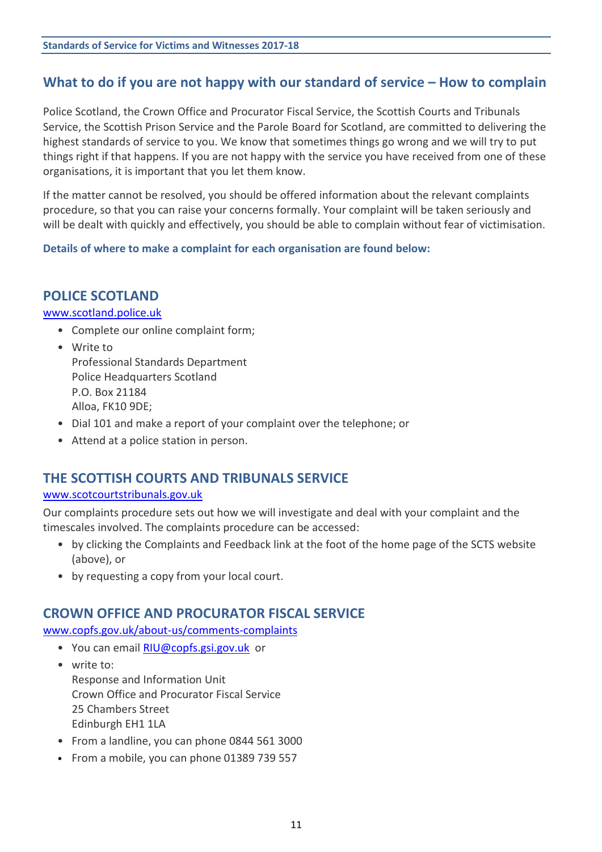# **What to do if you are not happy with our standard of service – How to complain**

Police Scotland, the Crown Office and Procurator Fiscal Service, the Scottish Courts and Tribunals Service, the Scottish Prison Service and the Parole Board for Scotland, are committed to delivering the highest standards of service to you. We know that sometimes things go wrong and we will try to put things right if that happens. If you are not happy with the service you have received from one of these organisations, it is important that you let them know.

If the matter cannot be resolved, you should be offered information about the relevant complaints procedure, so that you can raise your concerns formally. Your complaint will be taken seriously and will be dealt with quickly and effectively, you should be able to complain without fear of victimisation.

**Details of where to make a complaint for each organisation are found below:**

## **POLICE SCOTLAND**

#### [www.scotland.police.uk](http://www.scotland.police.uk/)

- Complete our online complaint form;
- Write to Professional Standards Department Police Headquarters Scotland P.O. Box 21184 Alloa, FK10 9DE;
- Dial 101 and make a report of your complaint over the telephone; or
- Attend at a police station in person.

## **THE SCOTTISH COURTS AND TRIBUNALS SERVICE**

## [www.scotcourtstribunals.gov.uk](http://www.scotcourtstribunals.gov.uk/)

Our complaints procedure sets out how we will investigate and deal with your complaint and the timescales involved. The complaints procedure can be accessed:

- by clicking the Complaints and Feedback link at the foot of the home page of the SCTS website (above), or
- by requesting a copy from your local court.

## **CROWN OFFICE AND PROCURATOR FISCAL SERVICE**

[www.copfs.gov.uk/about-us/comments-complaints](http://www.copfs.gov.uk/about-us/comments-complaints)

- You can email [RIU@copfs.gsi.gov.uk](mailto:RIU@copfs.gsi.gov.uk) or
- write to: Response and Information Unit Crown Office and Procurator Fiscal Service 25 Chambers Street Edinburgh EH1 1LA
- From a landline, you can phone 0844 561 3000
- From a mobile, you can phone 01389 739 557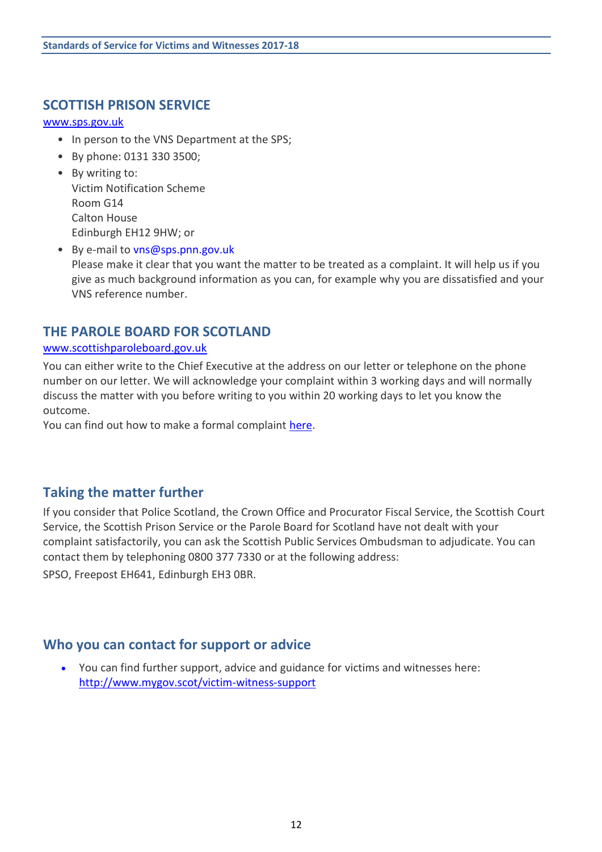## **SCOTTISH PRISON SERVICE**

#### [www.sps.gov.uk](http://www.sps.gov.uk/)

- In person to the VNS Department at the SPS;
- By phone: 0131 330 3500;
- By writing to: Victim Notification Scheme Room G14 Calton House Edinburgh EH12 9HW; or
- By e-mail to [vns@sps.pnn.gov.uk](mailto:vns@sps.pnn.gov.uk) Please make it clear that you want the matter to be treated as a complaint. It will help us if you give as much background information as you can, for example why you are dissatisfied and your VNS reference number.

## **THE PAROLE BOARD FOR SCOTLAND**

#### [www.scottishparoleboard.gov.uk](http://www.scottishparoleboard.gov.uk/)

You can either write to the Chief Executive at the address on our letter or telephone on the phone number on our letter. We will acknowledge your complaint within 3 working days and will normally discuss the matter with you before writing to you within 20 working days to let you know the outcome.

You can find out how to make a formal complaint [here.](http://www.scottishparoleboard.gov.uk/page/complaints_procedure)

## **Taking the matter further**

If you consider that Police Scotland, the Crown Office and Procurator Fiscal Service, the Scottish Court Service, the Scottish Prison Service or the Parole Board for Scotland have not dealt with your complaint satisfactorily, you can ask the Scottish Public Services Ombudsman to adjudicate. You can contact them by telephoning 0800 377 7330 or at the following address:

SPSO, Freepost EH641, Edinburgh EH3 0BR.

## **Who you can contact for support or advice**

 You can find further support, advice and guidance for victims and witnesses here: <http://www.mygov.scot/victim-witness-support>